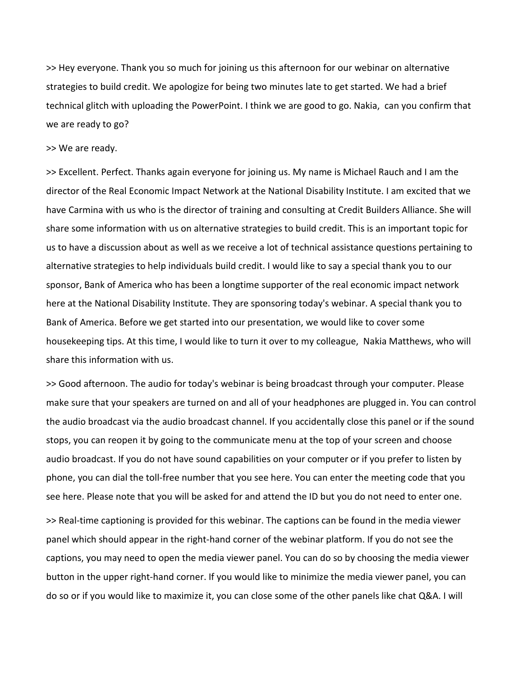>> Hey everyone. Thank you so much for joining us this afternoon for our webinar on alternative strategies to build credit. We apologize for being two minutes late to get started. We had a brief technical glitch with uploading the PowerPoint. I think we are good to go. Nakia, can you confirm that we are ready to go?

## >> We are ready.

>> Excellent. Perfect. Thanks again everyone for joining us. My name is Michael Rauch and I am the director of the Real Economic Impact Network at the National Disability Institute. I am excited that we have Carmina with us who is the director of training and consulting at Credit Builders Alliance. She will share some information with us on alternative strategies to build credit. This is an important topic for us to have a discussion about as well as we receive a lot of technical assistance questions pertaining to alternative strategies to help individuals build credit. I would like to say a special thank you to our sponsor, Bank of America who has been a longtime supporter of the real economic impact network here at the National Disability Institute. They are sponsoring today's webinar. A special thank you to Bank of America. Before we get started into our presentation, we would like to cover some housekeeping tips. At this time, I would like to turn it over to my colleague, Nakia Matthews, who will share this information with us.

>> Good afternoon. The audio for today's webinar is being broadcast through your computer. Please make sure that your speakers are turned on and all of your headphones are plugged in. You can control the audio broadcast via the audio broadcast channel. If you accidentally close this panel or if the sound stops, you can reopen it by going to the communicate menu at the top of your screen and choose audio broadcast. If you do not have sound capabilities on your computer or if you prefer to listen by phone, you can dial the toll-free number that you see here. You can enter the meeting code that you see here. Please note that you will be asked for and attend the ID but you do not need to enter one.

>> Real-time captioning is provided for this webinar. The captions can be found in the media viewer panel which should appear in the right-hand corner of the webinar platform. If you do not see the captions, you may need to open the media viewer panel. You can do so by choosing the media viewer button in the upper right-hand corner. If you would like to minimize the media viewer panel, you can do so or if you would like to maximize it, you can close some of the other panels like chat Q&A. I will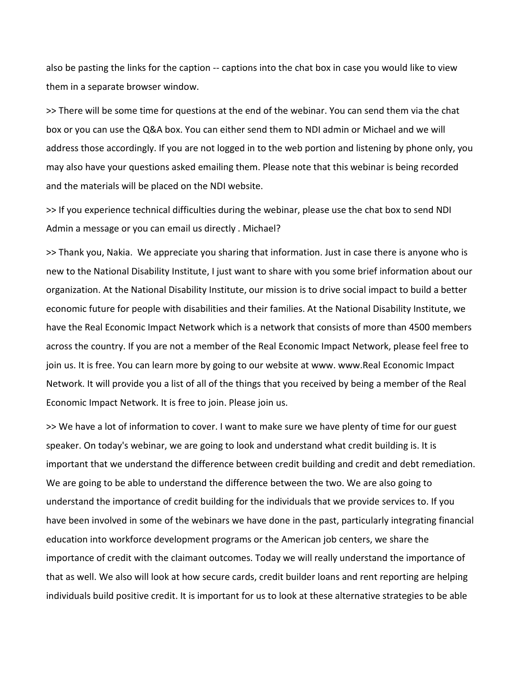also be pasting the links for the caption -- captions into the chat box in case you would like to view them in a separate browser window.

>> There will be some time for questions at the end of the webinar. You can send them via the chat box or you can use the Q&A box. You can either send them to NDI admin or Michael and we will address those accordingly. If you are not logged in to the web portion and listening by phone only, you may also have your questions asked emailing them. Please note that this webinar is being recorded and the materials will be placed on the NDI website.

>> If you experience technical difficulties during the webinar, please use the chat box to send NDI Admin a message or you can email us directly . Michael?

>> Thank you, Nakia. We appreciate you sharing that information. Just in case there is anyone who is new to the National Disability Institute, I just want to share with you some brief information about our organization. At the National Disability Institute, our mission is to drive social impact to build a better economic future for people with disabilities and their families. At the National Disability Institute, we have the Real Economic Impact Network which is a network that consists of more than 4500 members across the country. If you are not a member of the Real Economic Impact Network, please feel free to join us. It is free. You can learn more by going to our website at www. www.Real Economic Impact Network. It will provide you a list of all of the things that you received by being a member of the Real Economic Impact Network. It is free to join. Please join us.

>> We have a lot of information to cover. I want to make sure we have plenty of time for our guest speaker. On today's webinar, we are going to look and understand what credit building is. It is important that we understand the difference between credit building and credit and debt remediation. We are going to be able to understand the difference between the two. We are also going to understand the importance of credit building for the individuals that we provide services to. If you have been involved in some of the webinars we have done in the past, particularly integrating financial education into workforce development programs or the American job centers, we share the importance of credit with the claimant outcomes. Today we will really understand the importance of that as well. We also will look at how secure cards, credit builder loans and rent reporting are helping individuals build positive credit. It is important for us to look at these alternative strategies to be able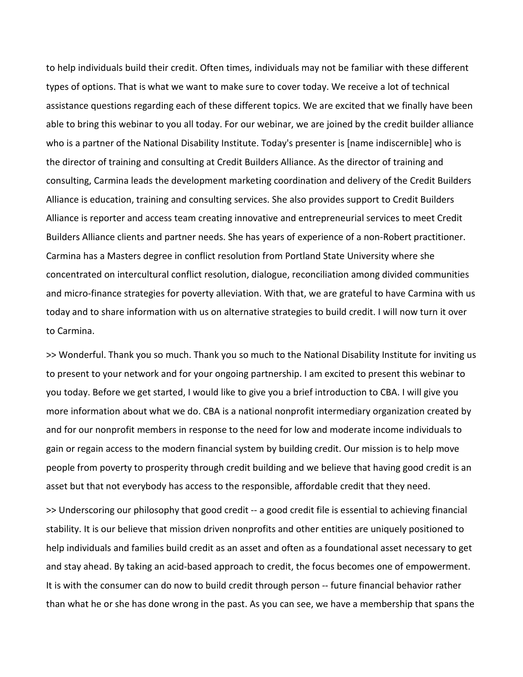to help individuals build their credit. Often times, individuals may not be familiar with these different types of options. That is what we want to make sure to cover today. We receive a lot of technical assistance questions regarding each of these different topics. We are excited that we finally have been able to bring this webinar to you all today. For our webinar, we are joined by the credit builder alliance who is a partner of the National Disability Institute. Today's presenter is [name indiscernible] who is the director of training and consulting at Credit Builders Alliance. As the director of training and consulting, Carmina leads the development marketing coordination and delivery of the Credit Builders Alliance is education, training and consulting services. She also provides support to Credit Builders Alliance is reporter and access team creating innovative and entrepreneurial services to meet Credit Builders Alliance clients and partner needs. She has years of experience of a non-Robert practitioner. Carmina has a Masters degree in conflict resolution from Portland State University where she concentrated on intercultural conflict resolution, dialogue, reconciliation among divided communities and micro-finance strategies for poverty alleviation. With that, we are grateful to have Carmina with us today and to share information with us on alternative strategies to build credit. I will now turn it over to Carmina.

>> Wonderful. Thank you so much. Thank you so much to the National Disability Institute for inviting us to present to your network and for your ongoing partnership. I am excited to present this webinar to you today. Before we get started, I would like to give you a brief introduction to CBA. I will give you more information about what we do. CBA is a national nonprofit intermediary organization created by and for our nonprofit members in response to the need for low and moderate income individuals to gain or regain access to the modern financial system by building credit. Our mission is to help move people from poverty to prosperity through credit building and we believe that having good credit is an asset but that not everybody has access to the responsible, affordable credit that they need.

>> Underscoring our philosophy that good credit -- a good credit file is essential to achieving financial stability. It is our believe that mission driven nonprofits and other entities are uniquely positioned to help individuals and families build credit as an asset and often as a foundational asset necessary to get and stay ahead. By taking an acid-based approach to credit, the focus becomes one of empowerment. It is with the consumer can do now to build credit through person -- future financial behavior rather than what he or she has done wrong in the past. As you can see, we have a membership that spans the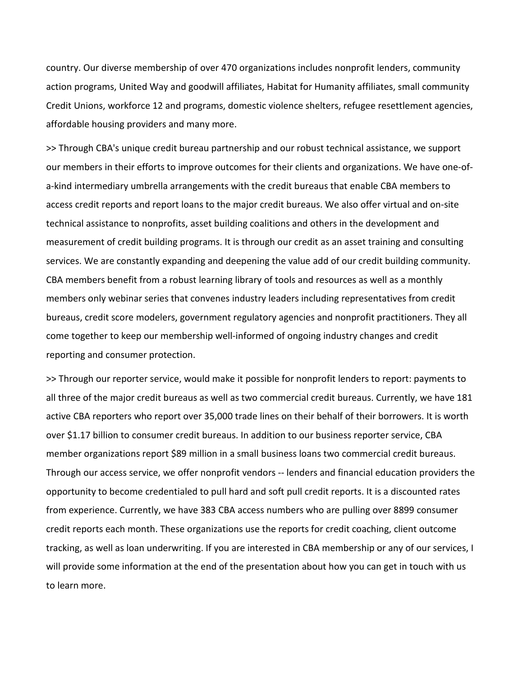country. Our diverse membership of over 470 organizations includes nonprofit lenders, community action programs, United Way and goodwill affiliates, Habitat for Humanity affiliates, small community Credit Unions, workforce 12 and programs, domestic violence shelters, refugee resettlement agencies, affordable housing providers and many more.

>> Through CBA's unique credit bureau partnership and our robust technical assistance, we support our members in their efforts to improve outcomes for their clients and organizations. We have one-ofa-kind intermediary umbrella arrangements with the credit bureaus that enable CBA members to access credit reports and report loans to the major credit bureaus. We also offer virtual and on-site technical assistance to nonprofits, asset building coalitions and others in the development and measurement of credit building programs. It is through our credit as an asset training and consulting services. We are constantly expanding and deepening the value add of our credit building community. CBA members benefit from a robust learning library of tools and resources as well as a monthly members only webinar series that convenes industry leaders including representatives from credit bureaus, credit score modelers, government regulatory agencies and nonprofit practitioners. They all come together to keep our membership well-informed of ongoing industry changes and credit reporting and consumer protection.

>> Through our reporter service, would make it possible for nonprofit lenders to report: payments to all three of the major credit bureaus as well as two commercial credit bureaus. Currently, we have 181 active CBA reporters who report over 35,000 trade lines on their behalf of their borrowers. It is worth over \$1.17 billion to consumer credit bureaus. In addition to our business reporter service, CBA member organizations report \$89 million in a small business loans two commercial credit bureaus. Through our access service, we offer nonprofit vendors -- lenders and financial education providers the opportunity to become credentialed to pull hard and soft pull credit reports. It is a discounted rates from experience. Currently, we have 383 CBA access numbers who are pulling over 8899 consumer credit reports each month. These organizations use the reports for credit coaching, client outcome tracking, as well as loan underwriting. If you are interested in CBA membership or any of our services, I will provide some information at the end of the presentation about how you can get in touch with us to learn more.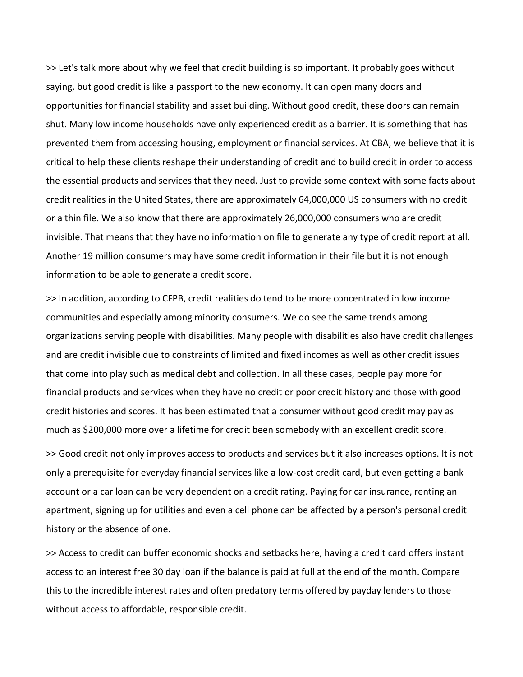>> Let's talk more about why we feel that credit building is so important. It probably goes without saying, but good credit is like a passport to the new economy. It can open many doors and opportunities for financial stability and asset building. Without good credit, these doors can remain shut. Many low income households have only experienced credit as a barrier. It is something that has prevented them from accessing housing, employment or financial services. At CBA, we believe that it is critical to help these clients reshape their understanding of credit and to build credit in order to access the essential products and services that they need. Just to provide some context with some facts about credit realities in the United States, there are approximately 64,000,000 US consumers with no credit or a thin file. We also know that there are approximately 26,000,000 consumers who are credit invisible. That means that they have no information on file to generate any type of credit report at all. Another 19 million consumers may have some credit information in their file but it is not enough information to be able to generate a credit score.

>> In addition, according to CFPB, credit realities do tend to be more concentrated in low income communities and especially among minority consumers. We do see the same trends among organizations serving people with disabilities. Many people with disabilities also have credit challenges and are credit invisible due to constraints of limited and fixed incomes as well as other credit issues that come into play such as medical debt and collection. In all these cases, people pay more for financial products and services when they have no credit or poor credit history and those with good credit histories and scores. It has been estimated that a consumer without good credit may pay as much as \$200,000 more over a lifetime for credit been somebody with an excellent credit score.

>> Good credit not only improves access to products and services but it also increases options. It is not only a prerequisite for everyday financial services like a low-cost credit card, but even getting a bank account or a car loan can be very dependent on a credit rating. Paying for car insurance, renting an apartment, signing up for utilities and even a cell phone can be affected by a person's personal credit history or the absence of one.

>> Access to credit can buffer economic shocks and setbacks here, having a credit card offers instant access to an interest free 30 day loan if the balance is paid at full at the end of the month. Compare this to the incredible interest rates and often predatory terms offered by payday lenders to those without access to affordable, responsible credit.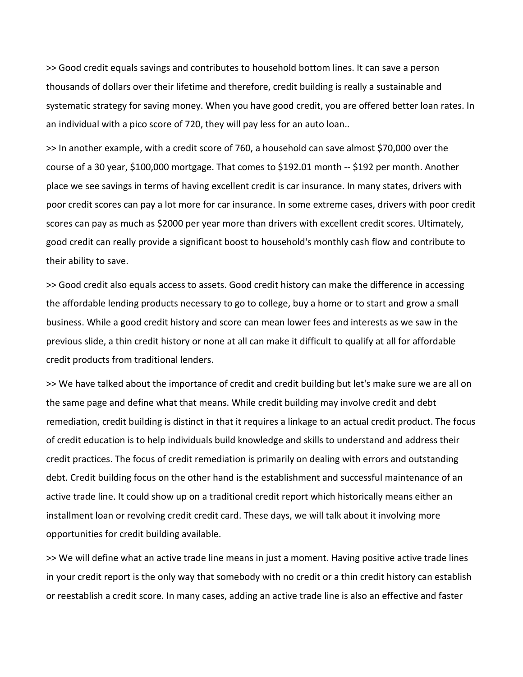>> Good credit equals savings and contributes to household bottom lines. It can save a person thousands of dollars over their lifetime and therefore, credit building is really a sustainable and systematic strategy for saving money. When you have good credit, you are offered better loan rates. In an individual with a pico score of 720, they will pay less for an auto loan..

>> In another example, with a credit score of 760, a household can save almost \$70,000 over the course of a 30 year, \$100,000 mortgage. That comes to \$192.01 month -- \$192 per month. Another place we see savings in terms of having excellent credit is car insurance. In many states, drivers with poor credit scores can pay a lot more for car insurance. In some extreme cases, drivers with poor credit scores can pay as much as \$2000 per year more than drivers with excellent credit scores. Ultimately, good credit can really provide a significant boost to household's monthly cash flow and contribute to their ability to save.

>> Good credit also equals access to assets. Good credit history can make the difference in accessing the affordable lending products necessary to go to college, buy a home or to start and grow a small business. While a good credit history and score can mean lower fees and interests as we saw in the previous slide, a thin credit history or none at all can make it difficult to qualify at all for affordable credit products from traditional lenders.

>> We have talked about the importance of credit and credit building but let's make sure we are all on the same page and define what that means. While credit building may involve credit and debt remediation, credit building is distinct in that it requires a linkage to an actual credit product. The focus of credit education is to help individuals build knowledge and skills to understand and address their credit practices. The focus of credit remediation is primarily on dealing with errors and outstanding debt. Credit building focus on the other hand is the establishment and successful maintenance of an active trade line. It could show up on a traditional credit report which historically means either an installment loan or revolving credit credit card. These days, we will talk about it involving more opportunities for credit building available.

>> We will define what an active trade line means in just a moment. Having positive active trade lines in your credit report is the only way that somebody with no credit or a thin credit history can establish or reestablish a credit score. In many cases, adding an active trade line is also an effective and faster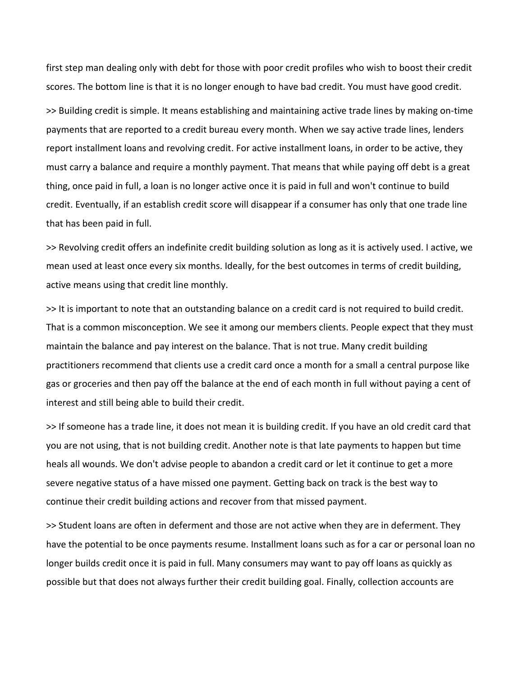first step man dealing only with debt for those with poor credit profiles who wish to boost their credit scores. The bottom line is that it is no longer enough to have bad credit. You must have good credit.

>> Building credit is simple. It means establishing and maintaining active trade lines by making on-time payments that are reported to a credit bureau every month. When we say active trade lines, lenders report installment loans and revolving credit. For active installment loans, in order to be active, they must carry a balance and require a monthly payment. That means that while paying off debt is a great thing, once paid in full, a loan is no longer active once it is paid in full and won't continue to build credit. Eventually, if an establish credit score will disappear if a consumer has only that one trade line that has been paid in full.

>> Revolving credit offers an indefinite credit building solution as long as it is actively used. I active, we mean used at least once every six months. Ideally, for the best outcomes in terms of credit building, active means using that credit line monthly.

>> It is important to note that an outstanding balance on a credit card is not required to build credit. That is a common misconception. We see it among our members clients. People expect that they must maintain the balance and pay interest on the balance. That is not true. Many credit building practitioners recommend that clients use a credit card once a month for a small a central purpose like gas or groceries and then pay off the balance at the end of each month in full without paying a cent of interest and still being able to build their credit.

>> If someone has a trade line, it does not mean it is building credit. If you have an old credit card that you are not using, that is not building credit. Another note is that late payments to happen but time heals all wounds. We don't advise people to abandon a credit card or let it continue to get a more severe negative status of a have missed one payment. Getting back on track is the best way to continue their credit building actions and recover from that missed payment.

>> Student loans are often in deferment and those are not active when they are in deferment. They have the potential to be once payments resume. Installment loans such as for a car or personal loan no longer builds credit once it is paid in full. Many consumers may want to pay off loans as quickly as possible but that does not always further their credit building goal. Finally, collection accounts are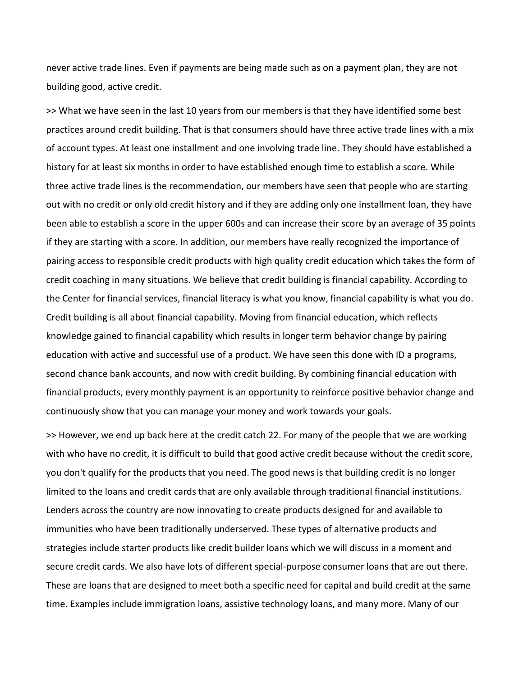never active trade lines. Even if payments are being made such as on a payment plan, they are not building good, active credit.

>> What we have seen in the last 10 years from our members is that they have identified some best practices around credit building. That is that consumers should have three active trade lines with a mix of account types. At least one installment and one involving trade line. They should have established a history for at least six months in order to have established enough time to establish a score. While three active trade lines is the recommendation, our members have seen that people who are starting out with no credit or only old credit history and if they are adding only one installment loan, they have been able to establish a score in the upper 600s and can increase their score by an average of 35 points if they are starting with a score. In addition, our members have really recognized the importance of pairing access to responsible credit products with high quality credit education which takes the form of credit coaching in many situations. We believe that credit building is financial capability. According to the Center for financial services, financial literacy is what you know, financial capability is what you do. Credit building is all about financial capability. Moving from financial education, which reflects knowledge gained to financial capability which results in longer term behavior change by pairing education with active and successful use of a product. We have seen this done with ID a programs, second chance bank accounts, and now with credit building. By combining financial education with financial products, every monthly payment is an opportunity to reinforce positive behavior change and continuously show that you can manage your money and work towards your goals.

>> However, we end up back here at the credit catch 22. For many of the people that we are working with who have no credit, it is difficult to build that good active credit because without the credit score, you don't qualify for the products that you need. The good news is that building credit is no longer limited to the loans and credit cards that are only available through traditional financial institutions. Lenders across the country are now innovating to create products designed for and available to immunities who have been traditionally underserved. These types of alternative products and strategies include starter products like credit builder loans which we will discuss in a moment and secure credit cards. We also have lots of different special-purpose consumer loans that are out there. These are loans that are designed to meet both a specific need for capital and build credit at the same time. Examples include immigration loans, assistive technology loans, and many more. Many of our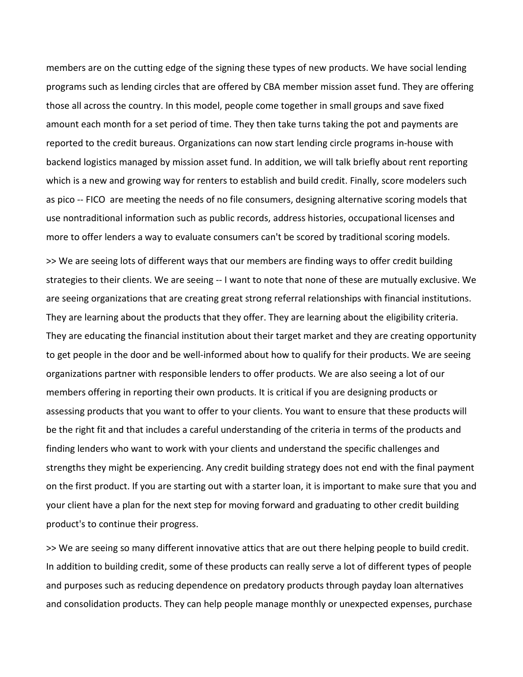members are on the cutting edge of the signing these types of new products. We have social lending programs such as lending circles that are offered by CBA member mission asset fund. They are offering those all across the country. In this model, people come together in small groups and save fixed amount each month for a set period of time. They then take turns taking the pot and payments are reported to the credit bureaus. Organizations can now start lending circle programs in-house with backend logistics managed by mission asset fund. In addition, we will talk briefly about rent reporting which is a new and growing way for renters to establish and build credit. Finally, score modelers such as pico -- FICO are meeting the needs of no file consumers, designing alternative scoring models that use nontraditional information such as public records, address histories, occupational licenses and more to offer lenders a way to evaluate consumers can't be scored by traditional scoring models.

>> We are seeing lots of different ways that our members are finding ways to offer credit building strategies to their clients. We are seeing -- I want to note that none of these are mutually exclusive. We are seeing organizations that are creating great strong referral relationships with financial institutions. They are learning about the products that they offer. They are learning about the eligibility criteria. They are educating the financial institution about their target market and they are creating opportunity to get people in the door and be well-informed about how to qualify for their products. We are seeing organizations partner with responsible lenders to offer products. We are also seeing a lot of our members offering in reporting their own products. It is critical if you are designing products or assessing products that you want to offer to your clients. You want to ensure that these products will be the right fit and that includes a careful understanding of the criteria in terms of the products and finding lenders who want to work with your clients and understand the specific challenges and strengths they might be experiencing. Any credit building strategy does not end with the final payment on the first product. If you are starting out with a starter loan, it is important to make sure that you and your client have a plan for the next step for moving forward and graduating to other credit building product's to continue their progress.

>> We are seeing so many different innovative attics that are out there helping people to build credit. In addition to building credit, some of these products can really serve a lot of different types of people and purposes such as reducing dependence on predatory products through payday loan alternatives and consolidation products. They can help people manage monthly or unexpected expenses, purchase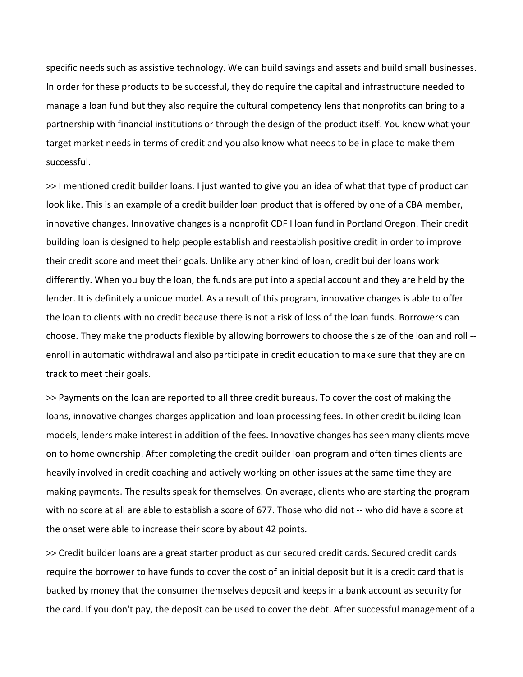specific needs such as assistive technology. We can build savings and assets and build small businesses. In order for these products to be successful, they do require the capital and infrastructure needed to manage a loan fund but they also require the cultural competency lens that nonprofits can bring to a partnership with financial institutions or through the design of the product itself. You know what your target market needs in terms of credit and you also know what needs to be in place to make them successful.

>> I mentioned credit builder loans. I just wanted to give you an idea of what that type of product can look like. This is an example of a credit builder loan product that is offered by one of a CBA member, innovative changes. Innovative changes is a nonprofit CDF I loan fund in Portland Oregon. Their credit building loan is designed to help people establish and reestablish positive credit in order to improve their credit score and meet their goals. Unlike any other kind of loan, credit builder loans work differently. When you buy the loan, the funds are put into a special account and they are held by the lender. It is definitely a unique model. As a result of this program, innovative changes is able to offer the loan to clients with no credit because there is not a risk of loss of the loan funds. Borrowers can choose. They make the products flexible by allowing borrowers to choose the size of the loan and roll - enroll in automatic withdrawal and also participate in credit education to make sure that they are on track to meet their goals.

>> Payments on the loan are reported to all three credit bureaus. To cover the cost of making the loans, innovative changes charges application and loan processing fees. In other credit building loan models, lenders make interest in addition of the fees. Innovative changes has seen many clients move on to home ownership. After completing the credit builder loan program and often times clients are heavily involved in credit coaching and actively working on other issues at the same time they are making payments. The results speak for themselves. On average, clients who are starting the program with no score at all are able to establish a score of 677. Those who did not -- who did have a score at the onset were able to increase their score by about 42 points.

>> Credit builder loans are a great starter product as our secured credit cards. Secured credit cards require the borrower to have funds to cover the cost of an initial deposit but it is a credit card that is backed by money that the consumer themselves deposit and keeps in a bank account as security for the card. If you don't pay, the deposit can be used to cover the debt. After successful management of a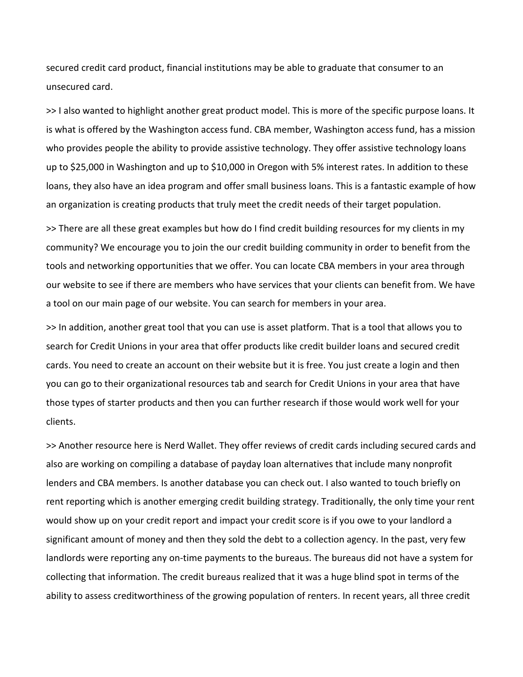secured credit card product, financial institutions may be able to graduate that consumer to an unsecured card.

>> I also wanted to highlight another great product model. This is more of the specific purpose loans. It is what is offered by the Washington access fund. CBA member, Washington access fund, has a mission who provides people the ability to provide assistive technology. They offer assistive technology loans up to \$25,000 in Washington and up to \$10,000 in Oregon with 5% interest rates. In addition to these loans, they also have an idea program and offer small business loans. This is a fantastic example of how an organization is creating products that truly meet the credit needs of their target population.

>> There are all these great examples but how do I find credit building resources for my clients in my community? We encourage you to join the our credit building community in order to benefit from the tools and networking opportunities that we offer. You can locate CBA members in your area through our website to see if there are members who have services that your clients can benefit from. We have a tool on our main page of our website. You can search for members in your area.

>> In addition, another great tool that you can use is asset platform. That is a tool that allows you to search for Credit Unions in your area that offer products like credit builder loans and secured credit cards. You need to create an account on their website but it is free. You just create a login and then you can go to their organizational resources tab and search for Credit Unions in your area that have those types of starter products and then you can further research if those would work well for your clients.

>> Another resource here is Nerd Wallet. They offer reviews of credit cards including secured cards and also are working on compiling a database of payday loan alternatives that include many nonprofit lenders and CBA members. Is another database you can check out. I also wanted to touch briefly on rent reporting which is another emerging credit building strategy. Traditionally, the only time your rent would show up on your credit report and impact your credit score is if you owe to your landlord a significant amount of money and then they sold the debt to a collection agency. In the past, very few landlords were reporting any on-time payments to the bureaus. The bureaus did not have a system for collecting that information. The credit bureaus realized that it was a huge blind spot in terms of the ability to assess creditworthiness of the growing population of renters. In recent years, all three credit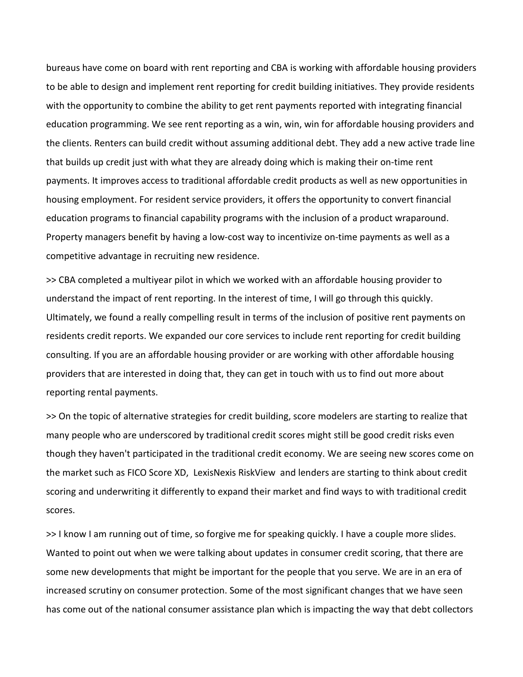bureaus have come on board with rent reporting and CBA is working with affordable housing providers to be able to design and implement rent reporting for credit building initiatives. They provide residents with the opportunity to combine the ability to get rent payments reported with integrating financial education programming. We see rent reporting as a win, win, win for affordable housing providers and the clients. Renters can build credit without assuming additional debt. They add a new active trade line that builds up credit just with what they are already doing which is making their on-time rent payments. It improves access to traditional affordable credit products as well as new opportunities in housing employment. For resident service providers, it offers the opportunity to convert financial education programs to financial capability programs with the inclusion of a product wraparound. Property managers benefit by having a low-cost way to incentivize on-time payments as well as a competitive advantage in recruiting new residence.

>> CBA completed a multiyear pilot in which we worked with an affordable housing provider to understand the impact of rent reporting. In the interest of time, I will go through this quickly. Ultimately, we found a really compelling result in terms of the inclusion of positive rent payments on residents credit reports. We expanded our core services to include rent reporting for credit building consulting. If you are an affordable housing provider or are working with other affordable housing providers that are interested in doing that, they can get in touch with us to find out more about reporting rental payments.

>> On the topic of alternative strategies for credit building, score modelers are starting to realize that many people who are underscored by traditional credit scores might still be good credit risks even though they haven't participated in the traditional credit economy. We are seeing new scores come on the market such as FICO Score XD, LexisNexis RiskView and lenders are starting to think about credit scoring and underwriting it differently to expand their market and find ways to with traditional credit scores.

>> I know I am running out of time, so forgive me for speaking quickly. I have a couple more slides. Wanted to point out when we were talking about updates in consumer credit scoring, that there are some new developments that might be important for the people that you serve. We are in an era of increased scrutiny on consumer protection. Some of the most significant changes that we have seen has come out of the national consumer assistance plan which is impacting the way that debt collectors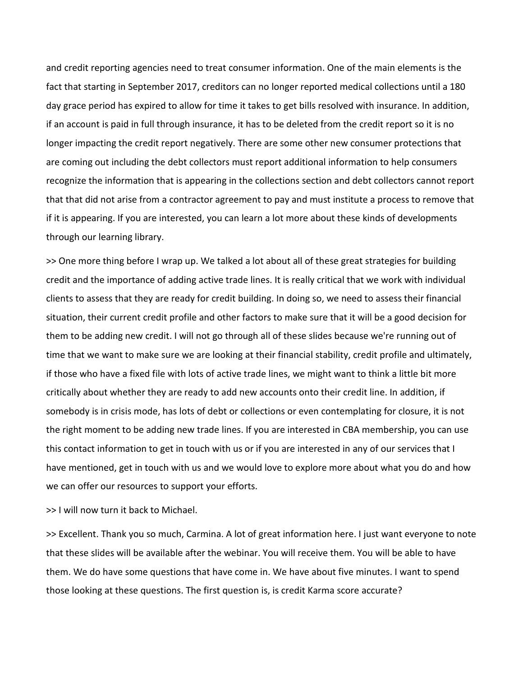and credit reporting agencies need to treat consumer information. One of the main elements is the fact that starting in September 2017, creditors can no longer reported medical collections until a 180 day grace period has expired to allow for time it takes to get bills resolved with insurance. In addition, if an account is paid in full through insurance, it has to be deleted from the credit report so it is no longer impacting the credit report negatively. There are some other new consumer protections that are coming out including the debt collectors must report additional information to help consumers recognize the information that is appearing in the collections section and debt collectors cannot report that that did not arise from a contractor agreement to pay and must institute a process to remove that if it is appearing. If you are interested, you can learn a lot more about these kinds of developments through our learning library.

>> One more thing before I wrap up. We talked a lot about all of these great strategies for building credit and the importance of adding active trade lines. It is really critical that we work with individual clients to assess that they are ready for credit building. In doing so, we need to assess their financial situation, their current credit profile and other factors to make sure that it will be a good decision for them to be adding new credit. I will not go through all of these slides because we're running out of time that we want to make sure we are looking at their financial stability, credit profile and ultimately, if those who have a fixed file with lots of active trade lines, we might want to think a little bit more critically about whether they are ready to add new accounts onto their credit line. In addition, if somebody is in crisis mode, has lots of debt or collections or even contemplating for closure, it is not the right moment to be adding new trade lines. If you are interested in CBA membership, you can use this contact information to get in touch with us or if you are interested in any of our services that I have mentioned, get in touch with us and we would love to explore more about what you do and how we can offer our resources to support your efforts.

>> I will now turn it back to Michael.

>> Excellent. Thank you so much, Carmina. A lot of great information here. I just want everyone to note that these slides will be available after the webinar. You will receive them. You will be able to have them. We do have some questions that have come in. We have about five minutes. I want to spend those looking at these questions. The first question is, is credit Karma score accurate?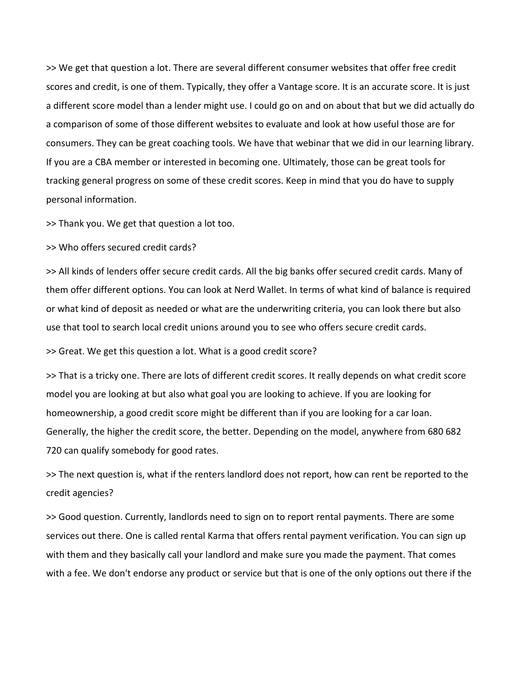>> We get that question a lot. There are several different consumer websites that offer free credit scores and credit, is one of them. Typically, they offer a Vantage score. It is an accurate score. It is just a different score model than a lender might use. I could go on and on about that but we did actually do a comparison of some of those different websites to evaluate and look at how useful those are for consumers. They can be great coaching tools. We have that webinar that we did in our learning library. If you are a CBA member or interested in becoming one. Ultimately, those can be great tools for tracking general progress on some of these credit scores. Keep in mind that you do have to supply personal information.

>> Thank you. We get that question a lot too.

>> Who offers secured credit cards?

>> All kinds of lenders offer secure credit cards. All the big banks offer secured credit cards. Many of them offer different options. You can look at Nerd Wallet. In terms of what kind of balance is required or what kind of deposit as needed or what are the underwriting criteria, you can look there but also use that tool to search local credit unions around you to see who offers secure credit cards.

>> Great. We get this question a lot. What is a good credit score?

>> That is a tricky one. There are lots of different credit scores. It really depends on what credit score model you are looking at but also what goal you are looking to achieve. If you are looking for homeownership, a good credit score might be different than if you are looking for a car loan. Generally, the higher the credit score, the better. Depending on the model, anywhere from 680 682 720 can qualify somebody for good rates.

>> The next question is, what if the renters landlord does not report, how can rent be reported to the credit agencies?

>> Good question. Currently, landlords need to sign on to report rental payments. There are some services out there. One is called rental Karma that offers rental payment verification. You can sign up with them and they basically call your landlord and make sure you made the payment. That comes with a fee. We don't endorse any product or service but that is one of the only options out there if the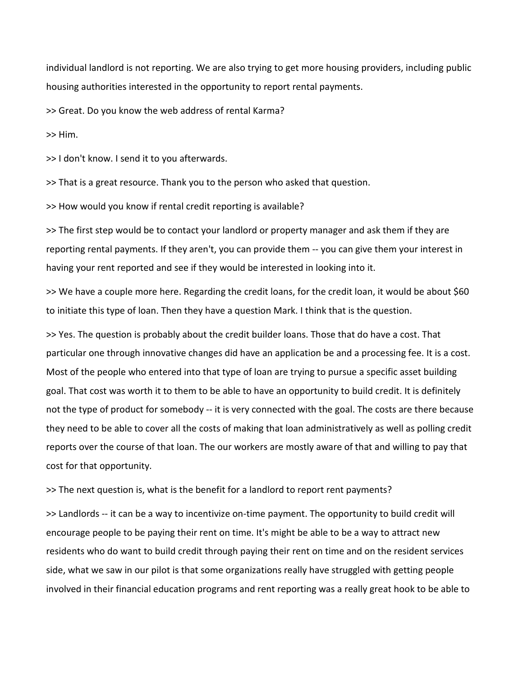individual landlord is not reporting. We are also trying to get more housing providers, including public housing authorities interested in the opportunity to report rental payments.

>> Great. Do you know the web address of rental Karma?

>> Him.

>> I don't know. I send it to you afterwards.

>> That is a great resource. Thank you to the person who asked that question.

>> How would you know if rental credit reporting is available?

>> The first step would be to contact your landlord or property manager and ask them if they are reporting rental payments. If they aren't, you can provide them -- you can give them your interest in having your rent reported and see if they would be interested in looking into it.

>> We have a couple more here. Regarding the credit loans, for the credit loan, it would be about \$60 to initiate this type of loan. Then they have a question Mark. I think that is the question.

>> Yes. The question is probably about the credit builder loans. Those that do have a cost. That particular one through innovative changes did have an application be and a processing fee. It is a cost. Most of the people who entered into that type of loan are trying to pursue a specific asset building goal. That cost was worth it to them to be able to have an opportunity to build credit. It is definitely not the type of product for somebody -- it is very connected with the goal. The costs are there because they need to be able to cover all the costs of making that loan administratively as well as polling credit reports over the course of that loan. The our workers are mostly aware of that and willing to pay that cost for that opportunity.

>> The next question is, what is the benefit for a landlord to report rent payments?

>> Landlords -- it can be a way to incentivize on-time payment. The opportunity to build credit will encourage people to be paying their rent on time. It's might be able to be a way to attract new residents who do want to build credit through paying their rent on time and on the resident services side, what we saw in our pilot is that some organizations really have struggled with getting people involved in their financial education programs and rent reporting was a really great hook to be able to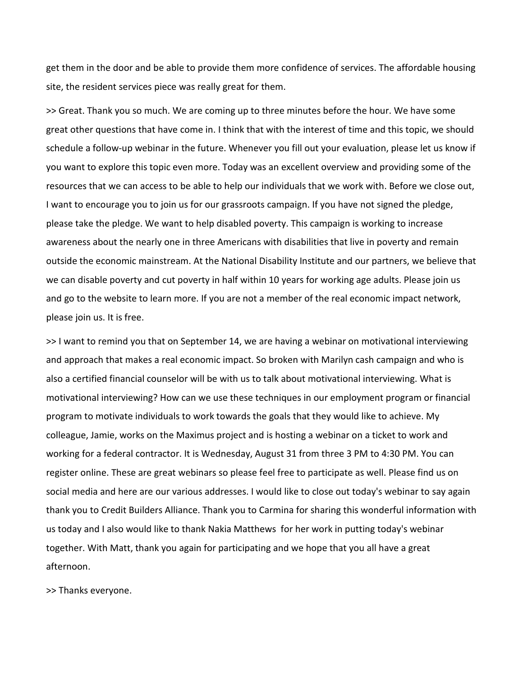get them in the door and be able to provide them more confidence of services. The affordable housing site, the resident services piece was really great for them.

>> Great. Thank you so much. We are coming up to three minutes before the hour. We have some great other questions that have come in. I think that with the interest of time and this topic, we should schedule a follow-up webinar in the future. Whenever you fill out your evaluation, please let us know if you want to explore this topic even more. Today was an excellent overview and providing some of the resources that we can access to be able to help our individuals that we work with. Before we close out, I want to encourage you to join us for our grassroots campaign. If you have not signed the pledge, please take the pledge. We want to help disabled poverty. This campaign is working to increase awareness about the nearly one in three Americans with disabilities that live in poverty and remain outside the economic mainstream. At the National Disability Institute and our partners, we believe that we can disable poverty and cut poverty in half within 10 years for working age adults. Please join us and go to the website to learn more. If you are not a member of the real economic impact network, please join us. It is free.

>> I want to remind you that on September 14, we are having a webinar on motivational interviewing and approach that makes a real economic impact. So broken with Marilyn cash campaign and who is also a certified financial counselor will be with us to talk about motivational interviewing. What is motivational interviewing? How can we use these techniques in our employment program or financial program to motivate individuals to work towards the goals that they would like to achieve. My colleague, Jamie, works on the Maximus project and is hosting a webinar on a ticket to work and working for a federal contractor. It is Wednesday, August 31 from three 3 PM to 4:30 PM. You can register online. These are great webinars so please feel free to participate as well. Please find us on social media and here are our various addresses. I would like to close out today's webinar to say again thank you to Credit Builders Alliance. Thank you to Carmina for sharing this wonderful information with us today and I also would like to thank Nakia Matthews for her work in putting today's webinar together. With Matt, thank you again for participating and we hope that you all have a great afternoon.

>> Thanks everyone.